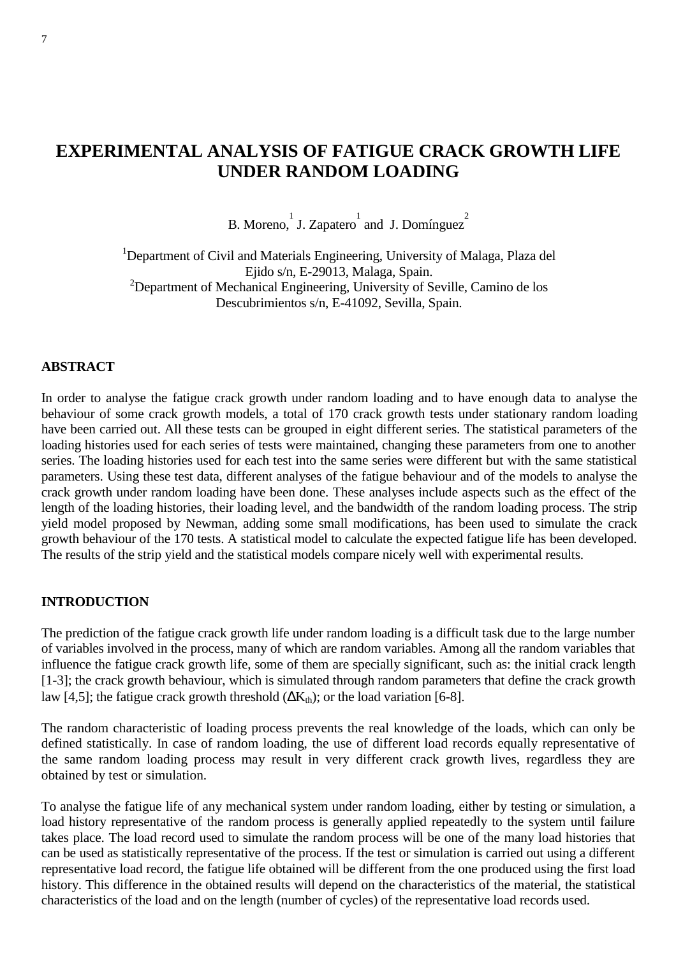# **EXPERIMENTAL ANALYSIS OF FATIGUE CRACK GROWTH LIFE UNDER RANDOM LOADING**

B. Moreno, J. Zapatero  $\frac{1}{2}$  and J. Domínguez

<sup>1</sup>Department of Civil and Materials Engineering, University of Malaga, Plaza del Ejido s/n, E-29013, Malaga, Spain. <sup>2</sup>Department of Mechanical Engineering, University of Seville, Camino de los Descubrimientos s/n, E-41092, Sevilla, Spain.

#### **ABSTRACT**

In order to analyse the fatigue crack growth under random loading and to have enough data to analyse the behaviour of some crack growth models, a total of 170 crack growth tests under stationary random loading have been carried out. All these tests can be grouped in eight different series. The statistical parameters of the loading histories used for each series of tests were maintained, changing these parameters from one to another series. The loading histories used for each test into the same series were different but with the same statistical parameters. Using these test data, different analyses of the fatigue behaviour and of the models to analyse the crack growth under random loading have been done. These analyses include aspects such as the effect of the length of the loading histories, their loading level, and the bandwidth of the random loading process. The strip yield model proposed by Newman, adding some small modifications, has been used to simulate the crack growth behaviour of the 170 tests. A statistical model to calculate the expected fatigue life has been developed. The results of the strip yield and the statistical models compare nicely well with experimental results.

#### **INTRODUCTION**

The prediction of the fatigue crack growth life under random loading is a difficult task due to the large number of variables involved in the process, many of which are random variables. Among all the random variables that influence the fatigue crack growth life, some of them are specially significant, such as: the initial crack length [1-3]; the crack growth behaviour, which is simulated through random parameters that define the crack growth law [4,5]; the fatigue crack growth threshold  $(\Delta K_{th})$ ; or the load variation [6-8].

The random characteristic of loading process prevents the real knowledge of the loads, which can only be defined statistically. In case of random loading, the use of different load records equally representative of the same random loading process may result in very different crack growth lives, regardless they are obtained by test or simulation.

To analyse the fatigue life of any mechanical system under random loading, either by testing or simulation, a load history representative of the random process is generally applied repeatedly to the system until failure takes place. The load record used to simulate the random process will be one of the many load histories that can be used as statistically representative of the process. If the test or simulation is carried out using a different representative load record, the fatigue life obtained will be different from the one produced using the first load history. This difference in the obtained results will depend on the characteristics of the material, the statistical characteristics of the load and on the length (number of cycles) of the representative load records used.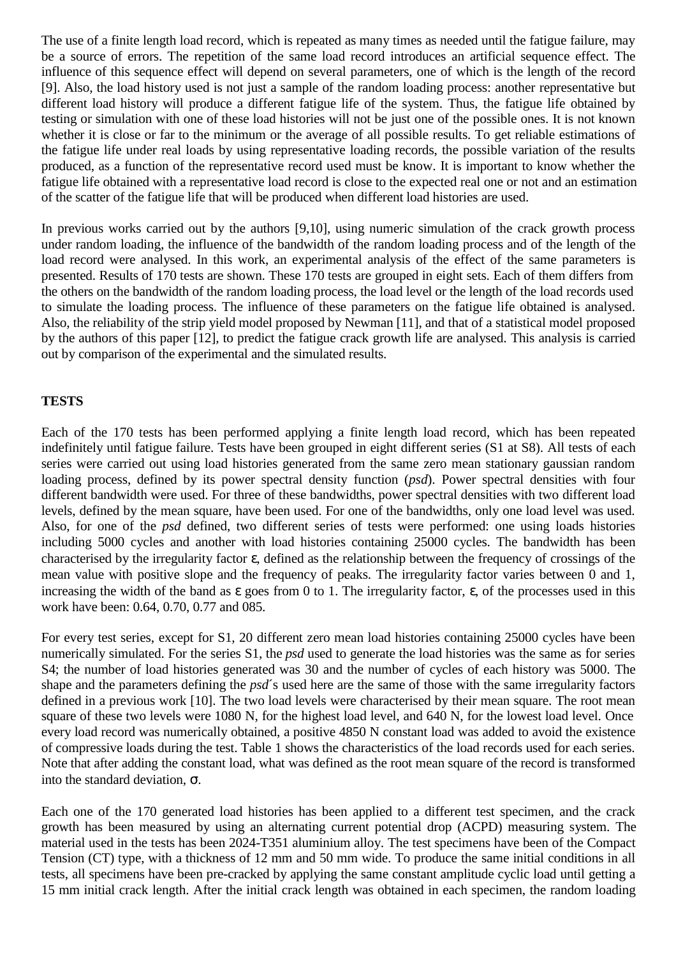The use of a finite length load record, which is repeated as many times as needed until the fatigue failure, may be a source of errors. The repetition of the same load record introduces an artificial sequence effect. The influence of this sequence effect will depend on several parameters, one of which is the length of the record [9]. Also, the load history used is not just a sample of the random loading process: another representative but different load history will produce a different fatigue life of the system. Thus, the fatigue life obtained by testing or simulation with one of these load histories will not be just one of the possible ones. It is not known whether it is close or far to the minimum or the average of all possible results. To get reliable estimations of the fatigue life under real loads by using representative loading records, the possible variation of the results produced, as a function of the representative record used must be know. It is important to know whether the fatigue life obtained with a representative load record is close to the expected real one or not and an estimation of the scatter of the fatigue life that will be produced when different load histories are used.

In previous works carried out by the authors [9,10], using numeric simulation of the crack growth process under random loading, the influence of the bandwidth of the random loading process and of the length of the load record were analysed. In this work, an experimental analysis of the effect of the same parameters is presented. Results of 170 tests are shown. These 170 tests are grouped in eight sets. Each of them differs from the others on the bandwidth of the random loading process, the load level or the length of the load records used to simulate the loading process. The influence of these parameters on the fatigue life obtained is analysed. Also, the reliability of the strip yield model proposed by Newman [11], and that of a statistical model proposed by the authors of this paper [12], to predict the fatigue crack growth life are analysed. This analysis is carried out by comparison of the experimental and the simulated results.

### **TESTS**

Each of the 170 tests has been performed applying a finite length load record, which has been repeated indefinitely until fatigue failure. Tests have been grouped in eight different series (S1 at S8). All tests of each series were carried out using load histories generated from the same zero mean stationary gaussian random loading process, defined by its power spectral density function (*psd*). Power spectral densities with four different bandwidth were used. For three of these bandwidths, power spectral densities with two different load levels, defined by the mean square, have been used. For one of the bandwidths, only one load level was used. Also, for one of the *psd* defined, two different series of tests were performed: one using loads histories including 5000 cycles and another with load histories containing 25000 cycles. The bandwidth has been characterised by the irregularity factor ε, defined as the relationship between the frequency of crossings of the mean value with positive slope and the frequency of peaks. The irregularity factor varies between 0 and 1, increasing the width of the band as  $\varepsilon$  goes from 0 to 1. The irregularity factor,  $\varepsilon$ , of the processes used in this work have been: 0.64, 0.70, 0.77 and 085.

For every test series, except for S1, 20 different zero mean load histories containing 25000 cycles have been numerically simulated. For the series S1, the *psd* used to generate the load histories was the same as for series S4; the number of load histories generated was 30 and the number of cycles of each history was 5000. The shape and the parameters defining the *psd*'s used here are the same of those with the same irregularity factors defined in a previous work [10]. The two load levels were characterised by their mean square. The root mean square of these two levels were 1080 N, for the highest load level, and 640 N, for the lowest load level. Once every load record was numerically obtained, a positive 4850 N constant load was added to avoid the existence of compressive loads during the test. Table 1 shows the characteristics of the load records used for each series. Note that after adding the constant load, what was defined as the root mean square of the record is transformed into the standard deviation, σ.

Each one of the 170 generated load histories has been applied to a different test specimen, and the crack growth has been measured by using an alternating current potential drop (ACPD) measuring system. The material used in the tests has been 2024-T351 aluminium alloy. The test specimens have been of the Compact Tension (CT) type, with a thickness of 12 mm and 50 mm wide. To produce the same initial conditions in all tests, all specimens have been pre-cracked by applying the same constant amplitude cyclic load until getting a 15 mm initial crack length. After the initial crack length was obtained in each specimen, the random loading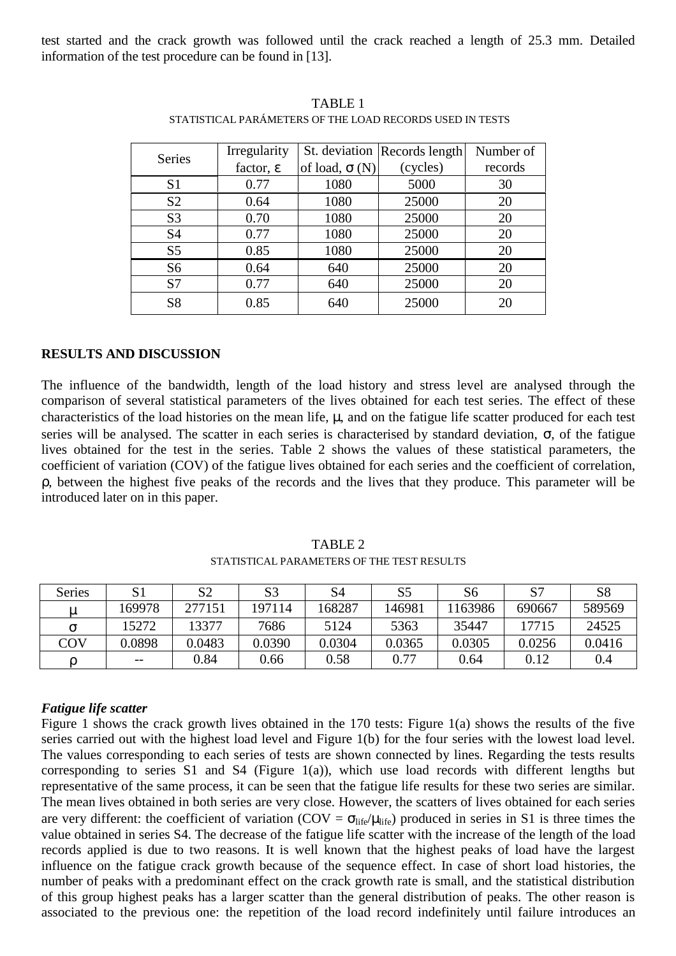test started and the crack growth was followed until the crack reached a length of 25.3 mm. Detailed information of the test procedure can be found in [13].

| <b>Series</b>  | Irregularity          |                      | St. deviation   Records length | Number of |
|----------------|-----------------------|----------------------|--------------------------------|-----------|
|                | factor, $\varepsilon$ | of load, $\sigma(N)$ | (cycles)                       | records   |
| S <sub>1</sub> | 0.77                  | 1080                 | 5000                           | 30        |
| S <sub>2</sub> | 0.64                  | 1080                 | 25000                          | 20        |
| S <sub>3</sub> | 0.70                  | 1080                 | 25000                          | 20        |
| <b>S4</b>      | 0.77                  | 1080                 | 25000                          | 20        |
| S <sub>5</sub> | 0.85                  | 1080                 | 25000                          | 20        |
| S <sub>6</sub> | 0.64                  | 640                  | 25000                          | 20        |
| S7             | 0.77                  | 640                  | 25000                          | 20        |
| S <sub>8</sub> | 0.85                  | 640                  | 25000                          |           |

TABLE 1 STATISTICAL PARÁMETERS OF THE LOAD RECORDS USED IN TESTS

### **RESULTS AND DISCUSSION**

The influence of the bandwidth, length of the load history and stress level are analysed through the comparison of several statistical parameters of the lives obtained for each test series. The effect of these characteristics of the load histories on the mean life,  $\mu$ , and on the fatigue life scatter produced for each test series will be analysed. The scatter in each series is characterised by standard deviation,  $\sigma$ , of the fatigue lives obtained for the test in the series. Table 2 shows the values of these statistical parameters, the coefficient of variation (COV) of the fatigue lives obtained for each series and the coefficient of correlation, ρ, between the highest five peaks of the records and the lives that they produce. This parameter will be introduced later on in this paper.

STATISTICAL PARAMETERS OF THE TEST RESULTS

| <b>Series</b> |        | S <sub>2</sub> | S <sub>3</sub> | S4     | S5     | S6     | S <sub>7</sub> | S <sub>8</sub> |
|---------------|--------|----------------|----------------|--------|--------|--------|----------------|----------------|
| μ             | 169978 | 277151         | 197114         | 168287 | 146981 | 163986 | 690667         | 589569         |
| σ             | 15272  | 13377          | 7686           | 5124   | 5363   | 35447  | 17715          | 24525          |
| COV           | 0.0898 | 0.0483         | 0.0390         | 0.0304 | 0.0365 | 0.0305 | 0.0256         | 0.0416         |
|               | $- -$  | 0.84           | 0.66           | 0.58   | 0.77   | 0.64   | 0.12           | 0.4            |

### *Fatigue life scatter*

Figure 1 shows the crack growth lives obtained in the 170 tests: Figure 1(a) shows the results of the five series carried out with the highest load level and Figure 1(b) for the four series with the lowest load level. The values corresponding to each series of tests are shown connected by lines. Regarding the tests results corresponding to series S1 and S4 (Figure 1(a)), which use load records with different lengths but representative of the same process, it can be seen that the fatigue life results for these two series are similar. The mean lives obtained in both series are very close. However, the scatters of lives obtained for each series are very different: the coefficient of variation (COV =  $\sigma_{\text{life}}/\mu_{\text{life}}$ ) produced in series in S1 is three times the value obtained in series S4. The decrease of the fatigue life scatter with the increase of the length of the load records applied is due to two reasons. It is well known that the highest peaks of load have the largest influence on the fatigue crack growth because of the sequence effect. In case of short load histories, the number of peaks with a predominant effect on the crack growth rate is small, and the statistical distribution of this group highest peaks has a larger scatter than the general distribution of peaks. The other reason is associated to the previous one: the repetition of the load record indefinitely until failure introduces an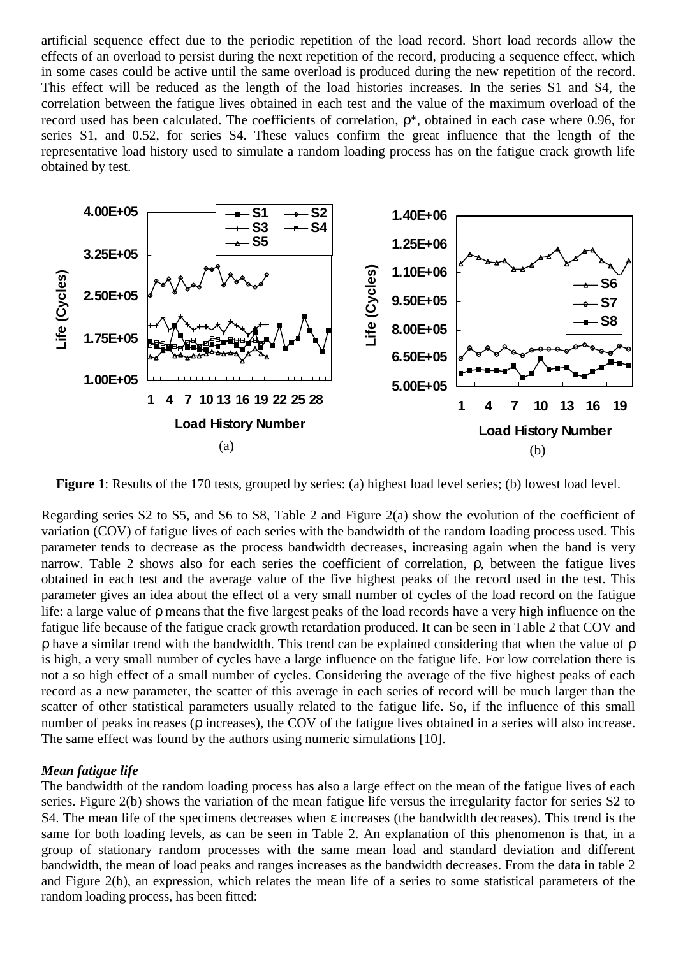artificial sequence effect due to the periodic repetition of the load record. Short load records allow the effects of an overload to persist during the next repetition of the record, producing a sequence effect, which in some cases could be active until the same overload is produced during the new repetition of the record. This effect will be reduced as the length of the load histories increases. In the series S1 and S4, the correlation between the fatigue lives obtained in each test and the value of the maximum overload of the record used has been calculated. The coefficients of correlation, ρ\*, obtained in each case where 0.96, for series S1, and 0.52, for series S4. These values confirm the great influence that the length of the representative load history used to simulate a random loading process has on the fatigue crack growth life obtained by test.



**Figure 1**: Results of the 170 tests, grouped by series: (a) highest load level series; (b) lowest load level.

Regarding series S2 to S5, and S6 to S8, Table 2 and Figure 2(a) show the evolution of the coefficient of variation (COV) of fatigue lives of each series with the bandwidth of the random loading process used. This parameter tends to decrease as the process bandwidth decreases, increasing again when the band is very narrow. Table 2 shows also for each series the coefficient of correlation, ρ, between the fatigue lives obtained in each test and the average value of the five highest peaks of the record used in the test. This parameter gives an idea about the effect of a very small number of cycles of the load record on the fatigue life: a large value of ρ means that the five largest peaks of the load records have a very high influence on the fatigue life because of the fatigue crack growth retardation produced. It can be seen in Table 2 that COV and ρ have a similar trend with the bandwidth. This trend can be explained considering that when the value of ρ is high, a very small number of cycles have a large influence on the fatigue life. For low correlation there is not a so high effect of a small number of cycles. Considering the average of the five highest peaks of each record as a new parameter, the scatter of this average in each series of record will be much larger than the scatter of other statistical parameters usually related to the fatigue life. So, if the influence of this small number of peaks increases (ρ increases), the COV of the fatigue lives obtained in a series will also increase. The same effect was found by the authors using numeric simulations [10].

### *Mean fatigue life*

The bandwidth of the random loading process has also a large effect on the mean of the fatigue lives of each series. Figure 2(b) shows the variation of the mean fatigue life versus the irregularity factor for series S2 to S4. The mean life of the specimens decreases when ε increases (the bandwidth decreases). This trend is the same for both loading levels, as can be seen in Table 2. An explanation of this phenomenon is that, in a group of stationary random processes with the same mean load and standard deviation and different bandwidth, the mean of load peaks and ranges increases as the bandwidth decreases. From the data in table 2 and Figure 2(b), an expression, which relates the mean life of a series to some statistical parameters of the random loading process, has been fitted: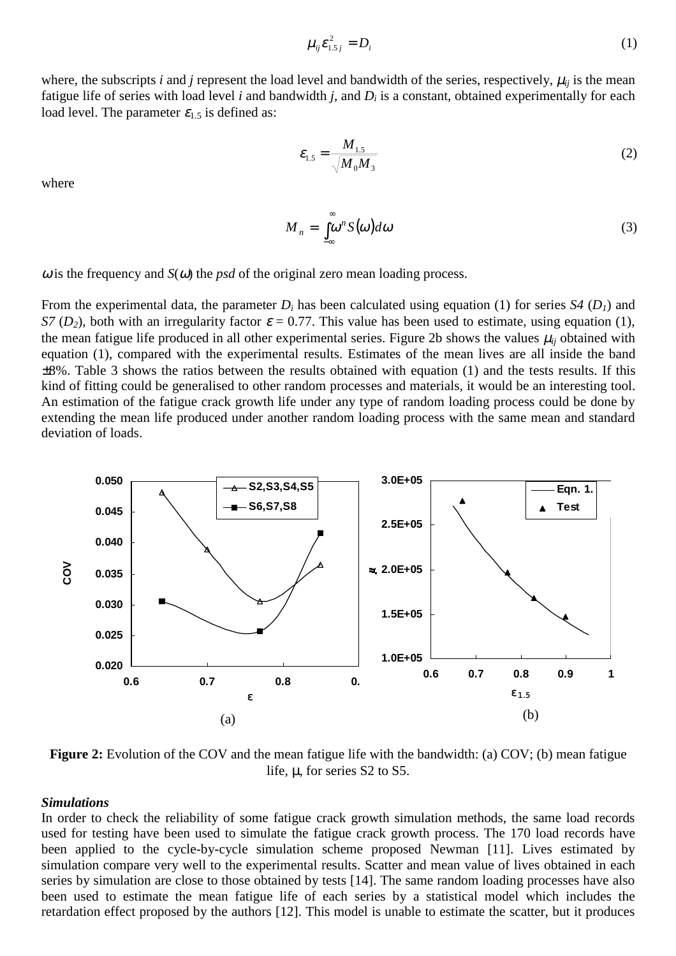$$
\mu_{ij}\varepsilon_{1.5j}^2 = D_i \tag{1}
$$

where, the subscripts *i* and *j* represent the load level and bandwidth of the series, respectively,  $\mu_{ii}$  is the mean fatigue life of series with load level *i* and bandwidth *j*, and  $D_i$  is a constant, obtained experimentally for each load level. The parameter  $\varepsilon_1$ , is defined as:

$$
\varepsilon_{1.5} = \frac{M_{1.5}}{\sqrt{M_0 M_3}}
$$
 (2)

where

$$
M_n = \int_{-\infty}^{\infty} \omega^n S(\omega) d\omega \tag{3}
$$

 $\omega$  is the frequency and *S*( $\omega$ ) the *psd* of the original zero mean loading process.

From the experimental data, the parameter  $D_i$  has been calculated using equation (1) for series  $S4$  ( $D_i$ ) and *S7* ( $D_2$ ), both with an irregularity factor  $\varepsilon = 0.77$ . This value has been used to estimate, using equation (1), the mean fatigue life produced in all other experimental series. Figure 2b shows the values  $\mu_{ij}$  obtained with equation (1), compared with the experimental results. Estimates of the mean lives are all inside the band ±8%. Table 3 shows the ratios between the results obtained with equation (1) and the tests results. If this kind of fitting could be generalised to other random processes and materials, it would be an interesting tool. An estimation of the fatigue crack growth life under any type of random loading process could be done by extending the mean life produced under another random loading process with the same mean and standard deviation of loads.



**Figure 2:** Evolution of the COV and the mean fatigue life with the bandwidth: (a) COV; (b) mean fatigue life, µ, for series S2 to S5.

### *Simulations*

In order to check the reliability of some fatigue crack growth simulation methods, the same load records used for testing have been used to simulate the fatigue crack growth process. The 170 load records have been applied to the cycle-by-cycle simulation scheme proposed Newman [11]. Lives estimated by simulation compare very well to the experimental results. Scatter and mean value of lives obtained in each series by simulation are close to those obtained by tests [14]. The same random loading processes have also been used to estimate the mean fatigue life of each series by a statistical model which includes the retardation effect proposed by the authors [12]. This model is unable to estimate the scatter, but it produces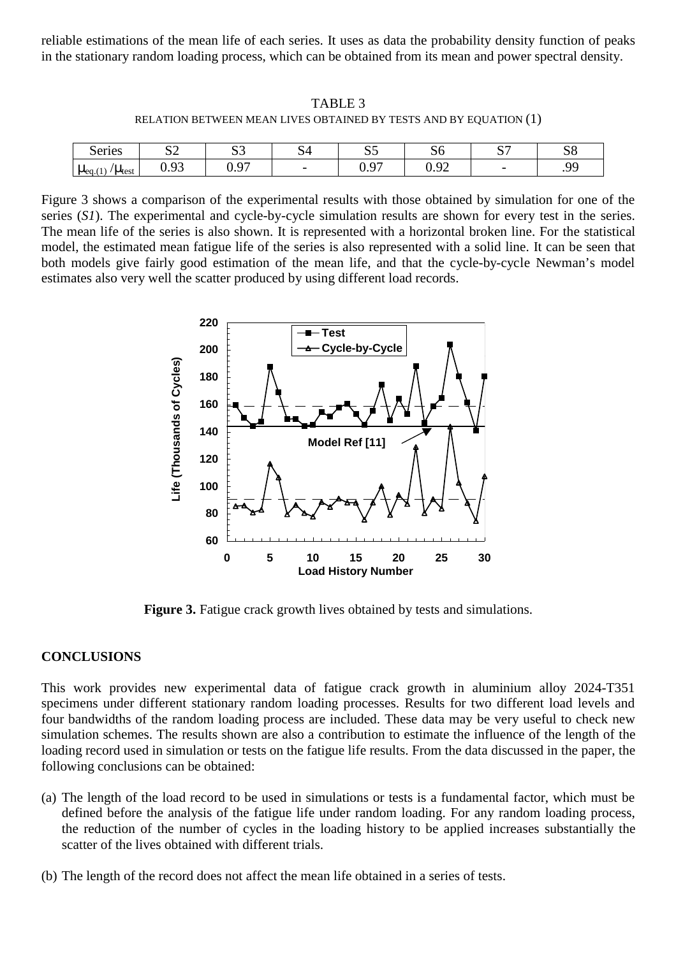reliable estimations of the mean life of each series. It uses as data the probability density function of peaks in the stationary random loading process, which can be obtained from its mean and power spectral density.

TABLE 3 RELATION BETWEEN MEAN LIVES OBTAINED BY TESTS AND BY EQUATION (1)

| Series                                           | $\sim$<br>ື້   | $\sim$ $\sim$<br>ື    | ~<br>ີ                   | $\sim$ $\sim$<br>ມມ | IJΨ                      | $\sim$<br>ັ | GΩ<br>ەد |
|--------------------------------------------------|----------------|-----------------------|--------------------------|---------------------|--------------------------|-------------|----------|
| $'\mu_{\text{test}}$<br>(4)<br>$\mu_{\text{eq}}$ | Q <sub>2</sub> | Q <sub>7</sub><br>◡•৴ | $\overline{\phantom{0}}$ | $\sim$<br>u<br>∪•∠≀ | ⌒<br>$\sim$<br>∼<br>∪.∠∠ | --          | OΟ       |

Figure 3 shows a comparison of the experimental results with those obtained by simulation for one of the series (*S1*). The experimental and cycle-by-cycle simulation results are shown for every test in the series. The mean life of the series is also shown. It is represented with a horizontal broken line. For the statistical model, the estimated mean fatigue life of the series is also represented with a solid line. It can be seen that both models give fairly good estimation of the mean life, and that the cycle-by-cycle Newman's model estimates also very well the scatter produced by using different load records.



**Figure 3.** Fatigue crack growth lives obtained by tests and simulations.

### **CONCLUSIONS**

This work provides new experimental data of fatigue crack growth in aluminium alloy 2024-T351 specimens under different stationary random loading processes. Results for two different load levels and four bandwidths of the random loading process are included. These data may be very useful to check new simulation schemes. The results shown are also a contribution to estimate the influence of the length of the loading record used in simulation or tests on the fatigue life results. From the data discussed in the paper, the following conclusions can be obtained:

- (a) The length of the load record to be used in simulations or tests is a fundamental factor, which must be defined before the analysis of the fatigue life under random loading. For any random loading process, the reduction of the number of cycles in the loading history to be applied increases substantially the scatter of the lives obtained with different trials.
- (b) The length of the record does not affect the mean life obtained in a series of tests.